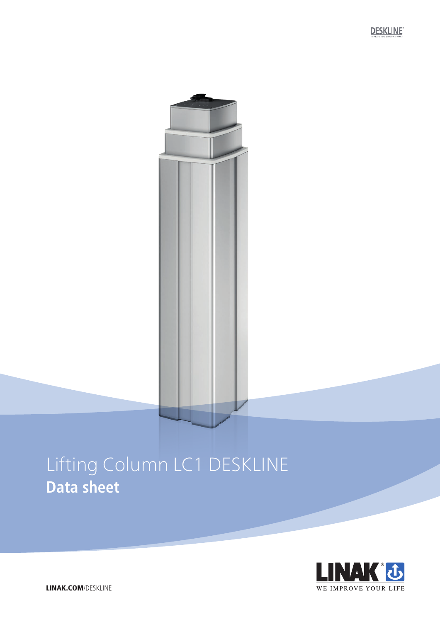# Lifting Column LC1 DESKLINE **Data sheet**

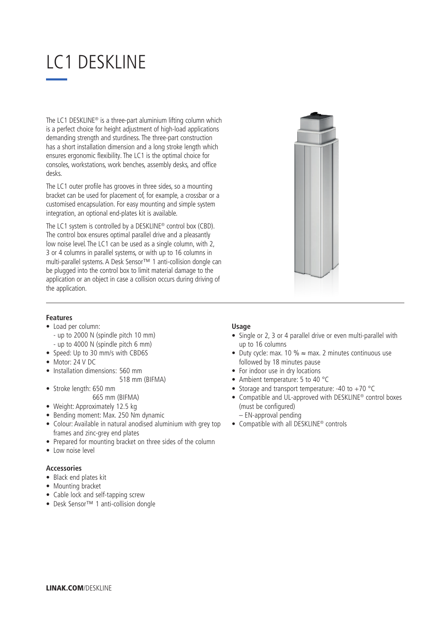## LC1 DESKLINE

The LC1 DESKLINE® is a three-part aluminium lifting column which is a perfect choice for height adjustment of high-load applications demanding strength and sturdiness. The three-part construction has a short installation dimension and a long stroke length which ensures ergonomic flexibility. The LC1 is the optimal choice for consoles, workstations, work benches, assembly desks, and office desks.

The LC1 outer profile has grooves in three sides, so a mounting bracket can be used for placement of, for example, a crossbar or a customised encapsulation. For easy mounting and simple system integration, an optional end-plates kit is available.

The LC1 system is controlled by a DESKLINE® control box (CBD). The control box ensures optimal parallel drive and a pleasantly low noise level. The LC1 can be used as a single column, with 2, 3 or 4 columns in parallel systems, or with up to 16 columns in multi-parallel systems. A Desk Sensor™ 1 anti-collision dongle can be plugged into the control box to limit material damage to the application or an object in case a collision occurs during driving of the application.



#### **Features**

- Load per column: - up to 2000 N (spindle pitch 10 mm) - up to 4000 N (spindle pitch 6 mm)
- Speed: Up to 30 mm/s with CBD6S
- Motor: 24 V DC
- Installation dimensions: 560 mm
	- 518 mm (BIFMA)
- Stroke length: 650 mm
	- 665 mm (BIFMA)
- Weight: Approximately 12.5 kg
- Bending moment: Max. 250 Nm dynamic
- Colour: Available in natural anodised aluminium with grey top frames and zinc-grey end plates
- Prepared for mounting bracket on three sides of the column
- Low noise level

### **Accessories**

- Black end plates kit
- Mounting bracket
- Cable lock and self-tapping screw
- Desk Sensor™ 1 anti-collision dongle

#### **Usage**

- Single or 2, 3 or 4 parallel drive or even multi-parallel with up to 16 columns
- Duty cycle: max. 10 %  $\approx$  max. 2 minutes continuous use followed by 18 minutes pause
- For indoor use in dry locations
- Ambient temperature: 5 to 40 °C
- Storage and transport temperature: -40 to +70  $^{\circ}$ C
- Compatible and UL-approved with DESKLINE® control boxes (must be configured)
	- EN-approval pending
- Compatible with all DESKLINE® controls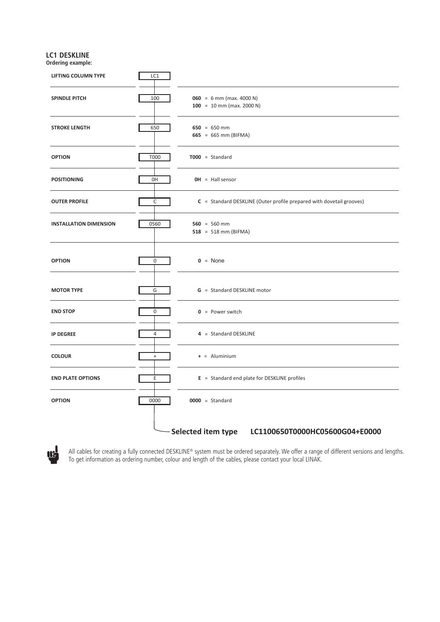#### **LC1 DESKLINE Ordering example:**



All cables for creating a fully connected DESKLINE® system must be ordered separately. We offer a range of different versions and lengths. To get information as ordering number, colour and length of the cables, please contact your local LINAK.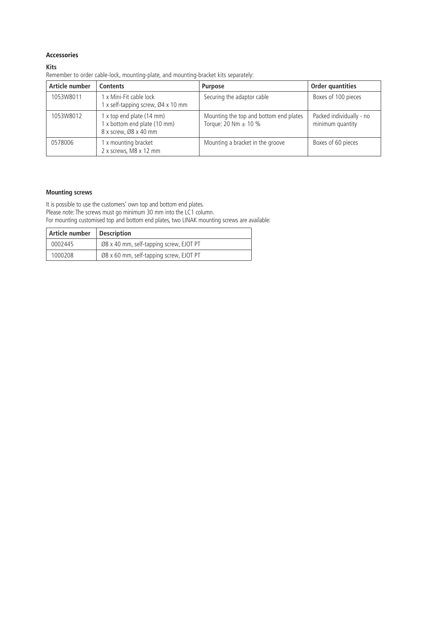#### **Accessories**

#### **Kits**

Remember to order cable-lock, mounting-plate, and mounting-bracket kits separately:

| Article number | <b>Contents</b>                                                                    | <b>Purpose</b>                                                     | Order quantities                             |
|----------------|------------------------------------------------------------------------------------|--------------------------------------------------------------------|----------------------------------------------|
| 1053W8011      | 1 x Mini-Fit cable lock<br>1 x self-tapping screw, Ø4 x 10 mm                      | Securing the adaptor cable                                         | Boxes of 100 pieces                          |
| 1053W8012      | 1 x top end plate (14 mm)<br>1 x bottom end plate (10 mm)<br>8 x screw, Ø8 x 40 mm | Mounting the top and bottom end plates<br>Torque: 20 Nm $\pm$ 10 % | Packed individually - no<br>minimum quantity |
| 0578006        | 1 x mounting bracket<br>2 x screws, M8 x 12 mm                                     | Mounting a bracket in the groove                                   | Boxes of 60 pieces                           |

#### **Mounting screws**

It is possible to use the customers' own top and bottom end plates. Please note: The screws must go minimum 30 mm into the LC1 column. For mounting customised top and bottom end plates, two LINAK mounting screws are available:

| Article number | <b>Description</b>                      |
|----------------|-----------------------------------------|
| 0002445        | Ø8 x 40 mm, self-tapping screw, EJOT PT |
| 1000208        | Ø8 x 60 mm, self-tapping screw, EJOT PT |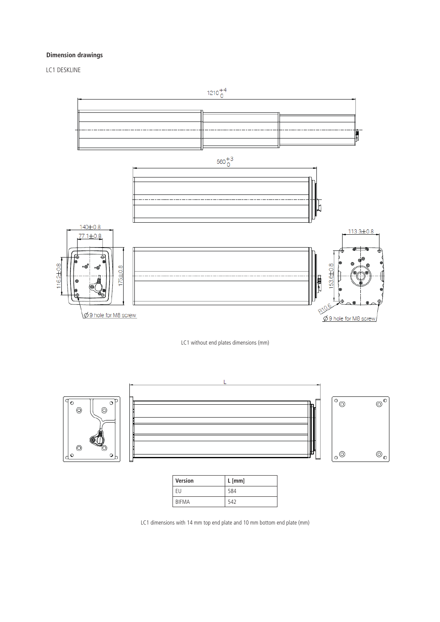#### **Dimension drawings**

LC1 DESKLINE



LC1 without end plates dimensions (mm)



| Version | $L$ [mm] |
|---------|----------|
| FU      | 584      |
| BIFMA   | 542      |

LC1 dimensions with 14 mm top end plate and 10 mm bottom end plate (mm)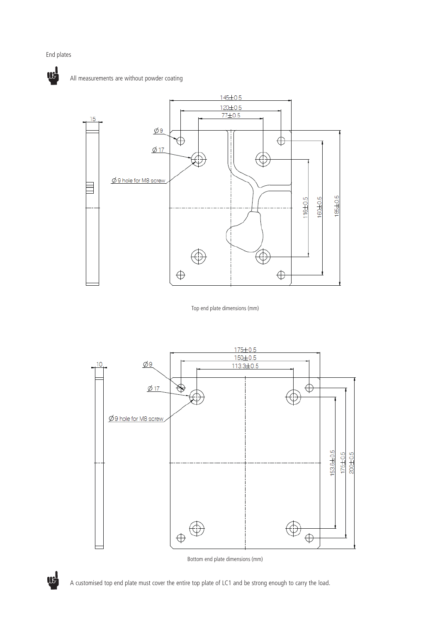#### End plates



All measurements are without powder coating



Top end plate dimensions (mm)



Bottom end plate dimensions (mm)